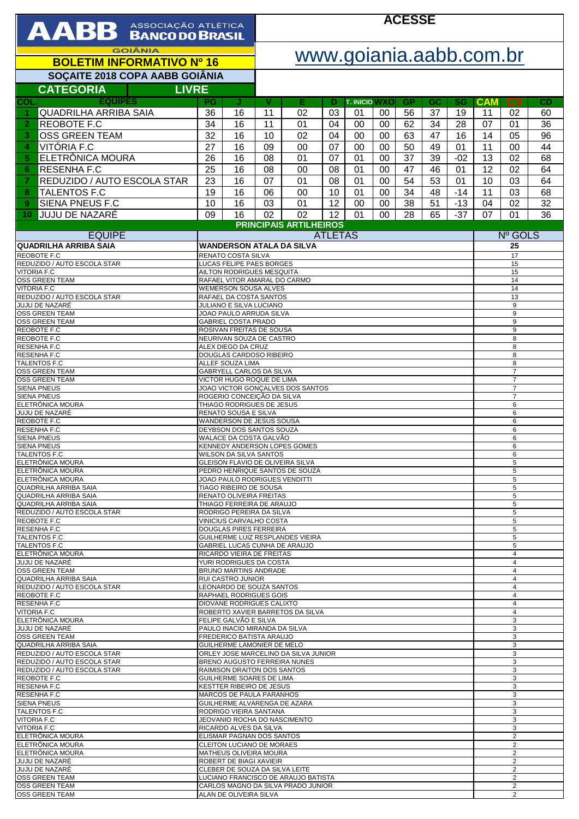| AABB ASSOCIAÇÃO ATLÉTICA                                           |                                                                                                                     |                                                               | <b>ACESSE</b>           |                                                                      |                |                      |                                  |                |          |           |            |                                  |          |  |
|--------------------------------------------------------------------|---------------------------------------------------------------------------------------------------------------------|---------------------------------------------------------------|-------------------------|----------------------------------------------------------------------|----------------|----------------------|----------------------------------|----------------|----------|-----------|------------|----------------------------------|----------|--|
| <b>GOIÂNIA</b>                                                     |                                                                                                                     |                                                               | www.goiania.aabb.com.br |                                                                      |                |                      |                                  |                |          |           |            |                                  |          |  |
| <b>BOLETIM INFORMATIVO Nº 16</b><br>SOÇAITE 2018 COPA AABB GOIÂNIA |                                                                                                                     |                                                               |                         |                                                                      |                |                      |                                  |                |          |           |            |                                  |          |  |
| <b>CATEGORIA</b><br><b>LIVRE</b>                                   |                                                                                                                     |                                                               |                         |                                                                      |                |                      |                                  |                |          |           |            |                                  |          |  |
| <b>EQUIPES</b><br>COL                                              | <b>PG</b>                                                                                                           | J                                                             | v                       | Е                                                                    | Ð              | <b>T. INICIO WXO</b> |                                  | <b>GP</b>      | GC       | <b>SG</b> | <b>CAM</b> | <b>CV</b>                        | CD       |  |
| <b>QUADRILHA ARRIBA SAIA</b><br>1                                  | 36                                                                                                                  | 16                                                            | 11                      | 02                                                                   | 03             | 01                   | 00                               | 56             | 37       | 19        | 11         | 02                               | 60       |  |
| REOBOTE F.C<br>$\overline{2}$<br>3<br><b>OSS GREEN TEAM</b>        | 34<br>32                                                                                                            | 16<br>16                                                      | 11<br>10                | 01<br>02                                                             | 04<br>04       | 00<br>00             | 00<br>00                         | 62<br>63       | 34<br>47 | 28<br>16  | 07<br>14   | 01<br>05                         | 36<br>96 |  |
| VITÓRIA F.C<br>4                                                   | 27                                                                                                                  | 16                                                            | 09                      | 00                                                                   | 07             | 00                   | 00                               | 50             | 49       | 01        | 11         | 00                               | 44       |  |
| ELETRÔNICA MOURA<br>5                                              | 26                                                                                                                  | 16                                                            | 08                      | 01                                                                   | 07             | 01                   | 00                               | 37             | 39       | $-02$     | 13         | 02                               | 68       |  |
| <b>RESENHA F.C</b><br>6<br>REDUZIDO / AUTO ESCOLA STAR<br>7        | $\overline{25}$<br>23                                                                                               | 16<br>16                                                      | 08<br>07                | 00<br>01                                                             | 08<br>08       | 01<br>01             | 00<br>00                         | 47<br>54       | 46<br>53 | 01<br>01  | 12<br>10   | 02<br>03                         | 64<br>64 |  |
| <b>TALENTOS F.C</b><br>8                                           | 19                                                                                                                  | 16                                                            | 06                      | 00                                                                   | 10             | 01                   | 00                               | 34             | 48       | $-14$     | 11         | 03                               | 68       |  |
| SIENA PNEUS F.C<br>9 <sup>°</sup>                                  | 10                                                                                                                  | 16                                                            | 03                      | 01                                                                   | 12             | 00                   | 00                               | 38             | 51       | $-13$     | 04         | 02                               | 32       |  |
| <b>JUJU DE NAZARÉ</b><br>10                                        | 09                                                                                                                  | 16                                                            | 02                      | 02<br><b>PRINCIPAIS ARTILHEIROS</b>                                  | 12             | 01                   | 00                               | 28             | 65       | $-37$     | 07         | 01                               | 36       |  |
| <b>EQUIPE</b>                                                      |                                                                                                                     |                                                               |                         |                                                                      | <b>ATLETAS</b> |                      |                                  |                |          |           | Nº GOLS    |                                  |          |  |
| <b>QUADRILHA ARRIBA SAIA</b><br>REOBOTE F.C                        |                                                                                                                     | RENATO COSTA SILVA                                            |                         | <b>WANDERSON ATALA DA SILVA</b>                                      |                |                      |                                  |                |          |           | 25<br>17   |                                  |          |  |
| REDUZIDO / AUTO ESCOLA STAR                                        |                                                                                                                     | LUCAS FELIPE PAES BORGES                                      |                         |                                                                      |                |                      |                                  |                |          |           |            | 15                               |          |  |
| <b>VITORIA F.C</b><br><b>OSS GREEN TEAM</b>                        | AILTON RODRIGUES MESQUITA<br>15<br>RAFAEL VITOR AMARAL DO CARMO<br>14                                               |                                                               |                         |                                                                      |                |                      |                                  |                |          |           |            |                                  |          |  |
| <b>VITORIA F.C.</b><br>REDUZIDO / AUTO ESCOLA STAR                 |                                                                                                                     | <b>WEMERSON SOUSA ALVES</b><br>RAFAEL DA COSTA SANTOS         |                         |                                                                      |                |                      |                                  |                |          |           |            | 14<br>13                         |          |  |
| JUJU DE NAZARÉ<br><b>OSS GREEN TEAM</b>                            |                                                                                                                     | JULIANO E SILVA LUCIANO<br>JOAO PAULO ARRUDA SILVA            |                         |                                                                      |                |                      |                                  |                |          |           |            | 9<br>9                           |          |  |
| <b>OSS GREEN TEAM</b>                                              |                                                                                                                     | <b>GABRIEL COSTA PRADO</b>                                    |                         |                                                                      |                |                      |                                  |                |          |           |            | 9                                |          |  |
| REOBOTE F.C<br>REOBOTE F.C                                         | ROSIVAN FREITAS DE SOUSA<br>9<br>NEURIVAN SOUZA DE CASTRO<br>8                                                      |                                                               |                         |                                                                      |                |                      |                                  |                |          |           |            |                                  |          |  |
| <b>RESENHA F.C</b><br>RESENHA F.C                                  | ALEX DIEGO DA CRUZ<br>8<br>DOUGLAS CARDOSO RIBEIRO<br>8                                                             |                                                               |                         |                                                                      |                |                      |                                  |                |          |           |            |                                  |          |  |
| <b>TALENTOS F.C</b><br><b>OSS GREEN TEAM</b>                       | ALLEF SOUZA LIMA<br>8<br>GABRYELL CARLOS DA SILVA                                                                   |                                                               |                         |                                                                      |                |                      |                                  |                |          |           |            |                                  |          |  |
| <b>OSS GREEN TEAM</b><br><b>SIENA PNEUS</b>                        | $\overline{7}$<br>VICTOR HUGO ROQUE DE LIMA<br>$\overline{7}$<br>JOAO VICTOR GONCALVES DOS SANTOS<br>$\overline{7}$ |                                                               |                         |                                                                      |                |                      |                                  |                |          |           |            |                                  |          |  |
| <b>SIENA PNEUS</b>                                                 |                                                                                                                     | ROGERIO CONCEIÇÃO DA SILVA                                    |                         |                                                                      |                |                      |                                  |                |          |           |            | $\overline{7}$                   |          |  |
| ELETRÔNICA MOURA<br><b>JUJU DE NAZARÉ</b>                          |                                                                                                                     | THIAGO RODRIGUES DE JESUS<br>RENATO SOUSA E SILVA             |                         |                                                                      |                |                      |                                  |                |          |           |            | 6<br>6                           |          |  |
| REOBOTE F.C<br><b>RESENHAF.C</b>                                   |                                                                                                                     | WANDERSON DE JESUS SOUSA<br>DEYBSON DOS SANTOS SOUZA          |                         |                                                                      |                |                      |                                  |                |          |           |            | 6<br>6                           |          |  |
| <b>SIENA PNEUS</b><br><b>SIENA PNEUS</b>                           |                                                                                                                     | WALACE DA COSTA GALVÃO                                        |                         | KENNEDY ANDERSON LOPES GOMES                                         |                |                      |                                  |                |          |           |            | 6<br>6                           |          |  |
| <b>TALENTOS F.C</b>                                                |                                                                                                                     | WILSON DA SILVA SANTOS                                        |                         |                                                                      |                |                      |                                  |                |          |           |            | 6                                |          |  |
| ELETRÖNICA MOURA<br>ELETRÔNICA MOURA                               |                                                                                                                     |                                                               |                         | GLEISON FLAVIO DE OLIVEIRA SILVA<br>PEDRO HENRIQUE SANTOS DE SOUZA   |                |                      |                                  |                |          |           |            | 5<br>5                           |          |  |
| ELETRÔNICA MOURA<br>QUADRILHA ARRIBA SAIA                          |                                                                                                                     | JOAO PAULO RODRIGUES VENDITTI<br>TIAGO RIBEIRO DE SOUSA       |                         |                                                                      |                |                      |                                  |                |          |           |            | 5<br>5                           |          |  |
| <b>QUADRILHA ARRIBA SAIA</b><br>QUADRILHA ARRIBA SAIA              |                                                                                                                     | RENATO OLIVEIRA FREITAS                                       |                         |                                                                      |                |                      |                                  |                |          |           |            | 5                                |          |  |
| REDUZIDO / AUTO ESCOLA STAR                                        | THIAGO FERREIRA DE ARAUJO<br>5<br>5<br>RODRIGO PEREIRA DA SILVA<br>VINICIUS CARVALHO COSTA                          |                                                               |                         |                                                                      |                |                      |                                  |                |          |           |            |                                  |          |  |
| REOBOTE F.C<br><b>RESENHAF.C</b>                                   |                                                                                                                     | <b>DOUGLAS PIRES FERREIRA</b>                                 |                         |                                                                      |                |                      |                                  |                |          |           |            | 5<br>5                           |          |  |
| <b>TALENTOS F.C</b><br><b>TALENTOS F.C</b>                         |                                                                                                                     |                                                               |                         | GUILHERME LUIZ RESPLANDES VIEIRA<br>GABRIEL LUCAS CUNHA DE ARAUJO    |                |                      |                                  |                |          |           |            | 5<br>5                           |          |  |
| ELETRÔNICA MOURA<br>JUJU DE NAZARÉ                                 |                                                                                                                     | RICARDO VIEIRA DE FREITAS                                     |                         |                                                                      |                |                      |                                  |                |          |           |            | $\overline{4}$<br>$\overline{4}$ |          |  |
| OSS GREEN TEAM<br><b>QUADRILHA ARRIBA SAIA</b>                     | YURI RODRIGUES DA COSTA<br><b>BRUNO MARTINS ANDRADE</b>                                                             |                                                               |                         |                                                                      |                |                      | $\overline{4}$<br>$\overline{4}$ |                |          |           |            |                                  |          |  |
| REDUZIDO / AUTO ESCOLA STAR                                        | RUI CASTRO JUNIOR<br>LEONARDO DE SOUZA SANTOS                                                                       |                                                               |                         |                                                                      |                |                      |                                  | $\overline{4}$ |          |           |            |                                  |          |  |
| REOBOTE F.C<br><b>RESENHAF.C</b>                                   |                                                                                                                     | RAPHAEL RODRIGUES GOIS<br>DIOVANE RODRIGUES CALIXTO           |                         |                                                                      |                |                      |                                  |                |          |           |            | $\overline{4}$<br>$\overline{4}$ |          |  |
| <b>VITORIA F.C</b><br>ELETRÔNICA MOURA                             |                                                                                                                     | FELIPE GALVÃO E SILVA                                         |                         | ROBERTO XAVIER BARRETOS DA SILVA                                     |                |                      |                                  |                |          |           |            | $\overline{4}$<br>3              |          |  |
| JUJU DE NAZARÉ                                                     |                                                                                                                     | PAULO INACIO MIRANDA DA SILVA                                 |                         |                                                                      |                |                      |                                  |                |          |           |            | 3                                |          |  |
| OSS GREEN TEAM<br>QUADRILHA ARRIBA SAIA                            |                                                                                                                     | FREDERICO BATISTA ARAUJO<br>GUILHERME LAMONIER DE MELO        |                         |                                                                      |                |                      |                                  |                |          |           |            | 3<br>3                           |          |  |
| REDUZIDO / AUTO ESCOLA STAR<br>REDUZIDO / AUTO ESCOLA STAR         |                                                                                                                     |                                                               |                         | ORLEY JOSE MARCELINO DA SILVA JUNIOR<br>BRENO AUGUSTO FERREIRA NUNES |                |                      |                                  |                |          |           |            | 3<br>3                           |          |  |
| REDUZIDO / AUTO ESCOLA STAR                                        |                                                                                                                     | RAIMISON DRAITON DOS SANTOS                                   |                         |                                                                      |                |                      |                                  |                |          |           |            | $\mathbf{3}$                     |          |  |
| REOBOTE F.C<br>RESENHA F.C                                         |                                                                                                                     | GUILHERME SOARES DE LIMA<br>KESTTER RIBEIRO DE JESUS          |                         |                                                                      |                |                      |                                  |                |          |           | 3<br>3     |                                  |          |  |
| RESENHA F.C<br><b>SIENA PNEUS</b>                                  |                                                                                                                     | MARCOS DE PAULA PARANHOS<br>GUILHERME ALVARENGA DE AZARA      |                         |                                                                      |                |                      |                                  |                |          |           | 3<br>3     |                                  |          |  |
| <b>TALENTOS F.C</b><br><b>VITORIA F.C</b>                          |                                                                                                                     | RODRIGO VIEIRA SANTANA<br>JEOVANIO ROCHA DO NASCIMENTO        |                         |                                                                      |                |                      |                                  |                |          |           |            | 3<br>3                           |          |  |
| <b>VITORIA F.C</b>                                                 |                                                                                                                     | RICARDO ALVES DA SILVA                                        |                         |                                                                      |                |                      |                                  |                |          |           |            | 3                                |          |  |
| ELETRÔNICA MOURA<br>ELETRÔNICA MOURA                               |                                                                                                                     | ELISMAR PAGNAN DOS SANTOS<br><b>CLEITON LUCIANO DE MORAES</b> |                         |                                                                      |                |                      |                                  |                |          |           |            | $\overline{c}$<br>$\overline{2}$ |          |  |
| ELETRÔNICA MOURA<br>JUJU DE NAZARÉ                                 | 2<br>MATHEUS OLIVEIRA MOURA<br>ROBERT DE BIAGI XAVIEIR<br>$\overline{2}$                                            |                                                               |                         |                                                                      |                |                      |                                  |                |          |           |            |                                  |          |  |
| JUJU DE NAZARÉ                                                     |                                                                                                                     | CLEBER DE SOUZA DA SILVA LEITE<br>$\overline{2}$              |                         |                                                                      |                |                      |                                  |                |          |           |            |                                  |          |  |
| OSS GREEN TEAM<br>OSS GREEN TEAM                                   | $\overline{2}$<br>LUCIANO FRANCISCO DE ARAUJO BATISTA<br>CARLOS MAGNO DA SILVA PRADO JUNIOR<br>$\overline{2}$       |                                                               |                         |                                                                      |                |                      |                                  |                |          |           |            |                                  |          |  |
| <b>OSS GREEN TEAM</b>                                              | ALAN DE OLIVEIRA SILVA<br>2                                                                                         |                                                               |                         |                                                                      |                |                      |                                  |                |          |           |            |                                  |          |  |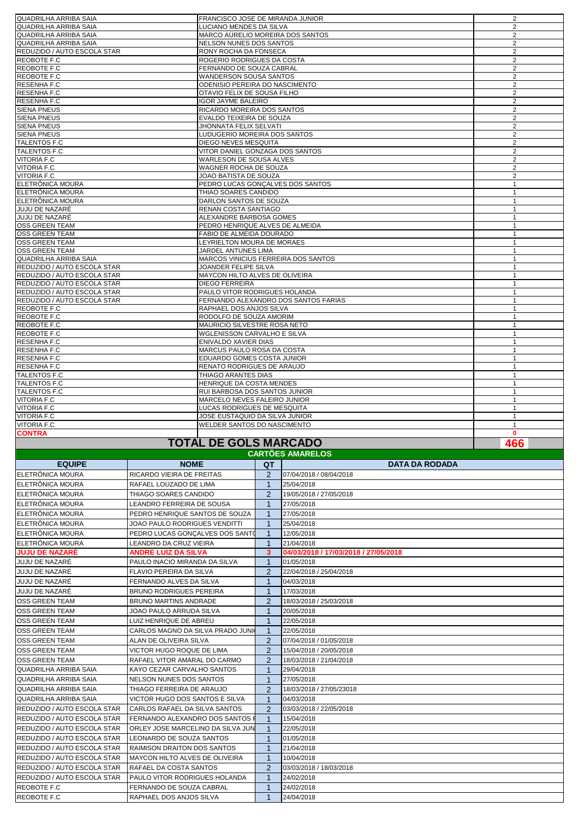| QUADRILHA ARRIBA SAIA       | FRANCISCO JOSE DE MIRANDA JUNIOR     | 2              |
|-----------------------------|--------------------------------------|----------------|
| QUADRILHA ARRIBA SAIA       | LUCIANO MENDES DA SILVA              | $\overline{2}$ |
| QUADRILHA ARRIBA SAIA       | MARCO AURELIO MOREIRA DOS SANTOS     | 2              |
| QUADRILHA ARRIBA SAIA       | <b>NELSON NUNES DOS SANTOS</b>       | $\overline{2}$ |
| REDUZIDO / AUTO ESCOLA STAR | RONY ROCHA DA FONSECA                | 2              |
| REOBOTE F.C                 | ROGERIO RODRIGUES DA COSTA           | 2              |
| REOBOTE F.C                 | FERNANDO DE SOUZA CABRAL             | $\overline{2}$ |
| REOBOTE F.C                 | <b>WANDERSON SOUSA SANTOS</b>        | 2              |
| RESENHA F.C                 | ODENISIO PEREIRA DO NASCIMENTO       | $\overline{2}$ |
| RESENHA F.C                 | OTAVIO FELIX DE SOUSA FILHO          | $\overline{2}$ |
| <b>RESENHA F.C</b>          | <b>IGOR JAYME BALEIRO</b>            | 2              |
| <b>SIENA PNEUS</b>          | RICARDO MOREIRA DOS SANTOS           | 2              |
| <b>SIENA PNEUS</b>          | EVALDO TEIXEIRA DE SOUZA             | 2              |
| <b>SIENA PNEUS</b>          | JHONNATA FELIX SELVATI               | 2              |
| <b>SIENA PNEUS</b>          | LUDUGERIO MOREIRA DOS SANTOS         | 2              |
| <b>TALENTOS F.C</b>         | DIEGO NEVES MESQUITA                 | 2              |
| <b>TALENTOS F.C</b>         | VITOR DANIEL GONZAGA DOS SANTOS      | 2              |
| <b>VITORIA F.C</b>          | WARLESON DE SOUSA ALVES              | 2              |
| VITORIA F.C                 | WAGNER ROCHA DE SOUZA                | 2              |
| <b>VITORIA F.C</b>          | JOAO BATISTA DE SOUZA                | 2              |
| ELETRÔNICA MOURA            | PEDRO LUCAS GONCALVES DOS SANTOS     | $\mathbf{1}$   |
| ELETRÔNICA MOURA            | THIAO SOARES CANDIDO                 | $\mathbf{1}$   |
| ELETRÔNICA MOURA            | DARLON SANTOS DE SOUZA               | $\mathbf{1}$   |
| JUJU DE NAZARÉ              | RENAN COSTA SANTIAGO                 | $\mathbf{1}$   |
| JUJU DE NAZARÉ              | ALEXANDRE BARBOSA GOMES              | $\mathbf{1}$   |
| <b>OSS GREEN TEAM</b>       | PEDRO HENRIQUE ALVES DE ALMEIDA      | $\mathbf{1}$   |
| <b>OSS GREEN TEAM</b>       | FABIO DE ALMEIDA DOURADO             | $\mathbf{1}$   |
| <b>OSS GREEN TEAM</b>       | LEYRIELTON MOURA DE MORAES           | $\mathbf{1}$   |
| <b>OSS GREEN TEAM</b>       | JARDEL ANTUNES LIMA                  | $\mathbf{1}$   |
| QUADRILHA ARRIBA SAIA       | MARCOS VINICIUS FERREIRA DOS SANTOS  | $\mathbf{1}$   |
| REDUZIDO / AUTO ESCOLA STAR | JOANDER FELIPE SILVA                 | $\mathbf{1}$   |
| REDUZIDO / AUTO ESCOLA STAR | MAYCON HILTO ALVES DE OLIVEIRA       | $\mathbf{1}$   |
| REDUZIDO / AUTO ESCOLA STAR | <b>DIEGO FERREIRA</b>                | $\mathbf{1}$   |
| REDUZIDO / AUTO ESCOLA STAR | PAULO VITOR RODRIGUES HOLANDA        | $\mathbf{1}$   |
| REDUZIDO / AUTO ESCOLA STAR | FERNANDO ALEXANDRO DOS SANTOS FARIAS | $\mathbf{1}$   |
| REOBOTE F.C                 | RAPHAEL DOS ANJOS SILVA              | $\mathbf{1}$   |
| REOBOTE F.C                 | RODOLFO DE SOUZA AMORIM              | $\mathbf{1}$   |
| REOBOTE F.C                 | MAURICIO SILVESTRE ROSA NETO         | $\mathbf{1}$   |
| REOBOTE F.C                 | WGLENISSON CARVALHO E SILVA          | $\mathbf{1}$   |
| RESENHA F.C                 | ENIVALDO XAVIER DIAS                 | $\mathbf{1}$   |
| RESENHA F.C                 | MARCUS PAULO ROSA DA COSTA           | $\mathbf{1}$   |
| <b>RESENHA F.C</b>          | EDUARDO GOMES COSTA JUNIOR           | $\mathbf{1}$   |
| <b>RESENHA F.C</b>          | RENATO RODRIGUES DE ARAUJO           | $\mathbf{1}$   |
| <b>TALENTOS F.C</b>         | THIAGO ARANTES DIAS                  | $\mathbf{1}$   |
| <b>TALENTOS F.C</b>         | HENRIQUE DA COSTA MENDES             | $\mathbf{1}$   |
| TALENTOS F.C                | RUI BARBOSA DOS SANTOS JUNIOR        | $\mathbf{1}$   |
| <b>VITORIA F.C</b>          | MARCELO NEVES FALEIRO JUNIOR         | $\mathbf{1}$   |
| <b>VITORIA F.C</b>          | LUCAS RODRIGUES DE MESQUITA          | $\mathbf{1}$   |
| <b>VITORIA F.C</b>          | JOSE EUSTAQUIO DA SILVA JUNIOR       | $\mathbf{1}$   |
| <b>VITORIA F.C</b>          | WELDER SANTOS DO NASCIMENTO          | $\mathbf{1}$   |
| <b>CONTRA</b>               |                                      | $\mathbf{0}$   |
|                             | <b>TOTAL DE GOLS MARCADO</b>         | 466            |

## **TOTAL DE GOLS MARCADO**

 $\sim$ 

| <b>CARTOES AMARELOS</b>            |                                       |                |                                      |  |  |  |  |
|------------------------------------|---------------------------------------|----------------|--------------------------------------|--|--|--|--|
| <b>EQUIPE</b>                      | <b>NOME</b>                           | QT             | <b>DATA DA RODADA</b>                |  |  |  |  |
| ELETRÔNICA MOURA                   | RICARDO VIEIRA DE FREITAS             | 2              | 07/04/2018 / 08/04/2018              |  |  |  |  |
| ELETRÔNICA MOURA                   | RAFAEL LOUZADO DE LIMA                | $\overline{1}$ | 25/04/2018                           |  |  |  |  |
| <b>IELETRÖNICA MOURA</b>           | THIAGO SOARES CANDIDO                 | 2              | 19/05/2018 / 27/05/2018              |  |  |  |  |
| <b>IELETRÖNICA MOURA</b>           | LEANDRO FERREIRA DE SOUSA             | $\mathbf 1$    | 27/05/2018                           |  |  |  |  |
| ELETRÔNICA MOURA                   | PEDRO HENRIQUE SANTOS DE SOUZA        | -1             | 27/05/2018                           |  |  |  |  |
| <b>ELETRÖNICA MOURA</b>            | JOAO PAULO RODRIGUES VENDITTI         | -1             | 25/04/2018                           |  |  |  |  |
| ELETRÔNICA MOURA                   | PEDRO LUCAS GONÇALVES DOS SANTO       | $\mathbf 1$    | 12/05/2018                           |  |  |  |  |
| ELETRÔNICA MOURA                   | <b>LEANDRO DA CRUZ VIEIRA</b>         | $\mathbf 1$    | 21/04/2018                           |  |  |  |  |
| <b>JUJU DE NAZARÉ</b>              | <b>ANDRE LUIZ DA SILVA</b>            | 3              | 04/03/2018 / 17/03/2018 / 27/05/2018 |  |  |  |  |
| <b>JUJU DE NAZARÉ</b>              | PAULO INACIO MIRANDA DA SILVA         | $\mathbf 1$    | 01/05/2018                           |  |  |  |  |
| <b>JUJU DE NAZARÉ</b>              | <b>FLAVIO PEREIRA DA SILVA</b>        | 2              | 22/04/2018 / 25/04/2018              |  |  |  |  |
| JUJU DE NAZARÉ                     | FERNANDO ALVES DA SILVA               | -1             | 04/03/2018                           |  |  |  |  |
| <b>JUJU DE NAZARÉ</b>              | <b>BRUNO RODRIGUES PEREIRA</b>        | $\mathbf 1$    | 17/03/2018                           |  |  |  |  |
| <b>OSS GREEN TEAM</b>              | <b>BRUNO MARTINS ANDRADE</b>          | $\overline{2}$ | 18/03/2018 / 25/03/2018              |  |  |  |  |
| <b>OSS GREEN TEAM</b>              | JOAO PAULO ARRUDA SILVA               | $\mathbf 1$    | 20/05/2018                           |  |  |  |  |
| <b>OSS GREEN TEAM</b>              | LUIZ HENRIQUE DE ABREU                | $\mathbf 1$    | 22/05/2018                           |  |  |  |  |
| <b>OSS GREEN TEAM</b>              | CARLOS MAGNO DA SILVA PRADO JUNIO     | $\overline{1}$ | 22/05/2018                           |  |  |  |  |
| <b>IOSS GREEN TEAM</b>             | ALAN DE OLIVEIRA SILVA                | 2              | 07/04/2018 / 01/05/2018              |  |  |  |  |
| <b>OSS GREEN TEAM</b>              | VICTOR HUGO ROQUE DE LIMA             | $\overline{2}$ | 15/04/2018 / 20/05/2018              |  |  |  |  |
| <b>OSS GREEN TEAM</b>              | RAFAEL VITOR AMARAL DO CARMO          | 2              | 18/03/2018 / 21/04/2018              |  |  |  |  |
| QUADRILHA ARRIBA SAIA              | KAYO CEZAR CARVALHO SANTOS            | -1             | 29/04/2018                           |  |  |  |  |
| QUADRILHA ARRIBA SAIA              | NELSON NUNES DOS SANTOS               | $\mathbf 1$    | 27/05/2018                           |  |  |  |  |
| QUADRILHA ARRIBA SAIA              | THIAGO FERREIRA DE ARAUJO             | 2              | 18/03/2018 / 27/05/23018             |  |  |  |  |
| QUADRILHA ARRIBA SAIA              | VICTOR HUGO DOS SANTOS E SILVA        | $\overline{1}$ | 04/03/2018                           |  |  |  |  |
| REDUZIDO / AUTO ESCOLA STAR        | CARLOS RAFAEL DA SILVA SANTOS         | 2              | 03/03/2018 / 22/05/2018              |  |  |  |  |
| <b>REDUZIDO / AUTO ESCOLA STAR</b> | FERNANDO ALEXANDRO DOS SANTOS I       | $\mathbf 1$    | 15/04/2018                           |  |  |  |  |
| <b>REDUZIDO / AUTO ESCOLA STAR</b> | ORLEY JOSE MARCELINO DA SILVA JUN     | $\mathbf{1}$   | 22/05/2018                           |  |  |  |  |
| REDUZIDO / AUTO ESCOLA STAR        | LEONARDO DE SOUZA SANTOS              | $\overline{1}$ | 01/05/2018                           |  |  |  |  |
| <b>REDUZIDO / AUTO ESCOLA STAR</b> | <b>RAIMISON DRAITON DOS SANTOS</b>    | $\overline{1}$ | 21/04/2018                           |  |  |  |  |
| <b>REDUZIDO / AUTO ESCOLA STAR</b> | <b>MAYCON HILTO ALVES DE OLIVEIRA</b> | $\overline{1}$ | 10/04/2018                           |  |  |  |  |
| REDUZIDO / AUTO ESCOLA STAR        | RAFAEL DA COSTA SANTOS                | 2              | 03/03/2018 / 18/03/2018              |  |  |  |  |
| <b>REDUZIDO / AUTO ESCOLA STAR</b> | PAULO VITOR RODRIGUES HOLANDA         | -1             | 24/02/2018                           |  |  |  |  |
| REOBOTE F.C                        | FERNANDO DE SOUZA CABRAL              | 1              | 24/02/2018                           |  |  |  |  |
| REOBOTE F.C                        | RAPHAEL DOS ANJOS SILVA               | $\mathbf 1$    | 24/04/2018                           |  |  |  |  |